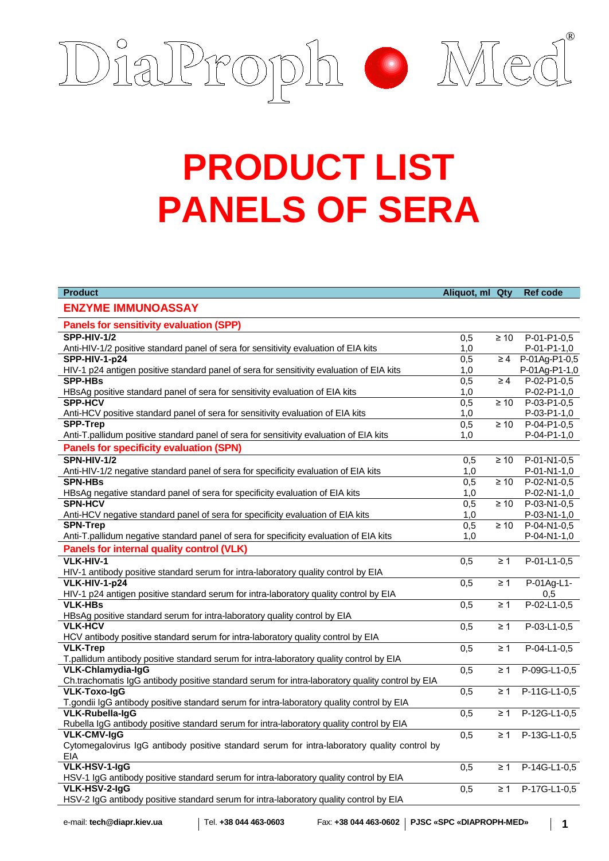

## **PRODUCT LIST PANELS OF SERA**

| <b>Product</b>                                                                                                         | Aliquot, ml Qty  |                      | <b>Ref code</b> |
|------------------------------------------------------------------------------------------------------------------------|------------------|----------------------|-----------------|
| <b>ENZYME IMMUNOASSAY</b>                                                                                              |                  |                      |                 |
| <b>Panels for sensitivity evaluation (SPP)</b>                                                                         |                  |                      |                 |
| <b>SPP-HIV-1/2</b>                                                                                                     | 0,5              | $\geq 10$            | $P-01-P1-0,5$   |
| Anti-HIV-1/2 positive standard panel of sera for sensitivity evaluation of EIA kits                                    | 1,0              |                      | P-01-P1-1,0     |
| <b>SPP-HIV-1-p24</b>                                                                                                   | $\overline{0,5}$ | $\geq 4$             | P-01Ag-P1-0,5   |
| HIV-1 p24 antigen positive standard panel of sera for sensitivity evaluation of EIA kits                               | 1,0              |                      | P-01Ag-P1-1,0   |
| <b>SPP-HBs</b>                                                                                                         | $\overline{0,5}$ | $\geq 4$             | $P-02-P1-0,5$   |
| HBsAg positive standard panel of sera for sensitivity evaluation of EIA kits                                           | 1,0              |                      | P-02-P1-1,0     |
| <b>SPP-HCV</b>                                                                                                         | $\overline{0,5}$ | $\geq 10$            | $P-03-P1-0.5$   |
| Anti-HCV positive standard panel of sera for sensitivity evaluation of EIA kits                                        | 1,0              |                      | P-03-P1-1,0     |
| <b>SPP-Trep</b>                                                                                                        | 0,5              | $\geq 10$            | $P-04-P1-0.5$   |
| Anti-T.pallidum positive standard panel of sera for sensitivity evaluation of EIA kits                                 | 1,0              |                      | P-04-P1-1,0     |
| <b>Panels for specificity evaluation (SPN)</b>                                                                         |                  |                      |                 |
| <b>SPN-HIV-1/2</b>                                                                                                     | 0,5              | $\geq 10$            | $P-01-N1-0,5$   |
| Anti-HIV-1/2 negative standard panel of sera for specificity evaluation of EIA kits                                    | 1,0              |                      | P-01-N1-1,0     |
| <b>SPN-HBs</b>                                                                                                         | $\overline{0,5}$ | $\geq 10$            | $P-02-N1-0,5$   |
| HBsAg negative standard panel of sera for specificity evaluation of EIA kits                                           | 1,0              |                      | P-02-N1-1,0     |
| <b>SPN-HCV</b>                                                                                                         | 0,5              | $\geq 10$            | $P-03-N1-0.5$   |
| Anti-HCV negative standard panel of sera for specificity evaluation of EIA kits                                        | 1,0              |                      | P-03-N1-1,0     |
| <b>SPN-Trep</b>                                                                                                        | 0,5              | $\overline{\geq 10}$ | $P-04-N1-0.5$   |
| Anti-T.pallidum negative standard panel of sera for specificity evaluation of EIA kits                                 | 1.0              |                      | P-04-N1-1,0     |
| Panels for internal quality control (VLK)                                                                              |                  |                      |                 |
| VLK-HIV-1                                                                                                              | 0,5              | $\geq 1$             | $P-01-L1-0,5$   |
| HIV-1 antibody positive standard serum for intra-laboratory quality control by EIA                                     |                  |                      |                 |
| VLK-HIV-1-p24                                                                                                          | 0,5              | $\geq 1$             | P-01Ag-L1-      |
| HIV-1 p24 antigen positive standard serum for intra-laboratory quality control by EIA                                  |                  |                      | 0,5             |
| <b>VLK-HBs</b>                                                                                                         | 0,5              | $\geq 1$             | $P-02-L1-0,5$   |
| HBsAg positive standard serum for intra-laboratory quality control by EIA                                              |                  |                      |                 |
| <b>VLK-HCV</b>                                                                                                         | $\overline{0,5}$ | $\geq 1$             | $P-03-L1-0,5$   |
| HCV antibody positive standard serum for intra-laboratory quality control by EIA                                       |                  |                      |                 |
| <b>VLK-Trep</b>                                                                                                        | 0,5              | $\geq 1$             | $P-04-L1-0,5$   |
| T.pallidum antibody positive standard serum for intra-laboratory quality control by EIA<br>VLK-Chlamydia-IgG           |                  |                      |                 |
|                                                                                                                        | 0,5              | $\geq 1$             | P-09G-L1-0,5    |
| Ch.trachomatis IgG antibody positive standard serum for intra-laboratory quality control by EIA<br><b>VLK-Toxo-IgG</b> | 0,5              | $\geq 1$             | P-11G-L1-0,5    |
| T.gondii IgG antibody positive standard serum for intra-laboratory quality control by EIA                              |                  |                      |                 |
| <b>VLK-Rubella-IgG</b>                                                                                                 | $\overline{0,5}$ | $\geq 1$             | P-12G-L1-0,5    |
| Rubella IgG antibody positive standard serum for intra-laboratory quality control by EIA                               |                  |                      |                 |
| <b>VLK-CMV-IgG</b>                                                                                                     | 0,5              | $\geq 1$             | P-13G-L1-0,5    |
| Cytomegalovirus IgG antibody positive standard serum for intra-laboratory quality control by                           |                  |                      |                 |
| EIA                                                                                                                    |                  |                      |                 |
| <b>VLK-HSV-1-IgG</b>                                                                                                   | 0,5              | $\geq 1$             | P-14G-L1-0,5    |
| HSV-1 IgG antibody positive standard serum for intra-laboratory quality control by EIA                                 |                  |                      |                 |
| VLK-HSV-2-IgG                                                                                                          | $\overline{0,5}$ | $\geq 1$             | P-17G-L1-0,5    |
| HSV-2 IgG antibody positive standard serum for intra-laboratory quality control by EIA                                 |                  |                      |                 |
|                                                                                                                        |                  |                      |                 |